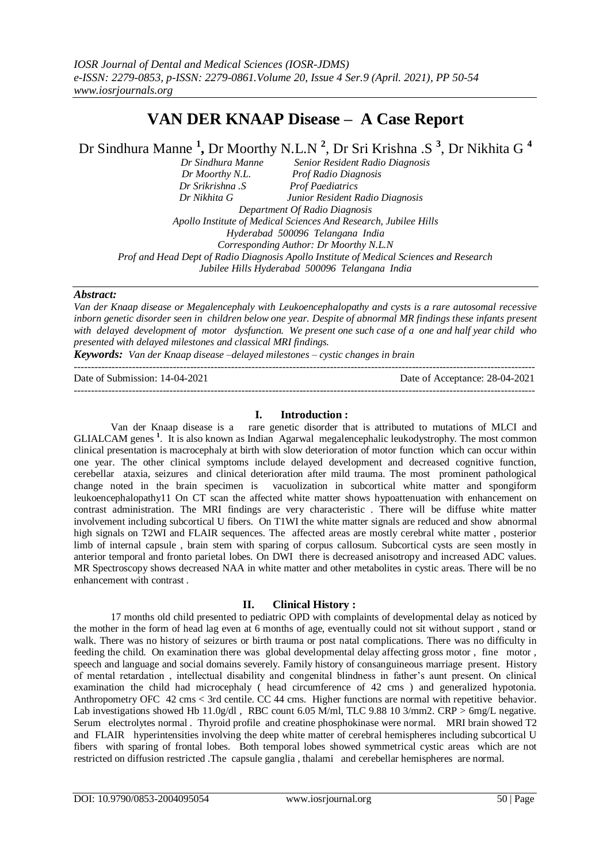# **VAN DER KNAAP Disease – A Case Report**

Dr Sindhura Manne **<sup>1</sup> ,** Dr Moorthy N.L.N **<sup>2</sup>** , Dr Sri Krishna .S **<sup>3</sup>** , Dr Nikhita G **<sup>4</sup>**

*Dr Sindhura Manne Senior Resident Radio Diagnosis Dr Moorthy N.L. Prof Radio Diagnosis Dr Srikrishna .S Prof Paediatrics Dr Nikhita G Junior Resident Radio Diagnosis Department Of Radio Diagnosis Apollo Institute of Medical Sciences And Research, Jubilee Hills Hyderabad 500096 Telangana India Corresponding Author: Dr Moorthy N.L.N Prof and Head Dept of Radio Diagnosis Apollo Institute of Medical Sciences and Research Jubilee Hills Hyderabad 500096 Telangana India*

# *Abstract:*

*Van der Knaap disease or Megalencephaly with Leukoencephalopathy and cysts is a rare autosomal recessive inborn genetic disorder seen in children below one year. Despite of abnormal MR findings these infants present with delayed development of motor dysfunction. We present one such case of a one and half year child who presented with delayed milestones and classical MRI findings.* 

*Keywords: Van der Knaap disease –delayed milestones – cystic changes in brain* ---------------------------------------------------------------------------------------------------------------------------------------

Date of Submission: 14-04-2021 Date of Acceptance: 28-04-2021

# **I. Introduction :**

---------------------------------------------------------------------------------------------------------------------------------------

Van der Knaap disease is a rare genetic disorder that is attributed to mutations of MLCI and GLIALCAM genes<sup>1</sup>. It is also known as Indian Agarwal megalencephalic leukodystrophy. The most common clinical presentation is macrocephaly at birth with slow deterioration of motor function which can occur within one year. The other clinical symptoms include delayed development and decreased cognitive function, cerebellar ataxia, seizures and clinical deterioration after mild trauma. The most prominent pathological change noted in the brain specimen is vacuolization in subcortical white matter and spongiform leukoencephalopathy11 On CT scan the affected white matter shows hypoattenuation with enhancement on contrast administration. The MRI findings are very characteristic . There will be diffuse white matter involvement including subcortical U fibers. On T1WI the white matter signals are reduced and show abnormal high signals on T2WI and FLAIR sequences. The affected areas are mostly cerebral white matter , posterior limb of internal capsule , brain stem with sparing of corpus callosum. Subcortical cysts are seen mostly in anterior temporal and fronto parietal lobes. On DWI there is decreased anisotropy and increased ADC values. MR Spectroscopy shows decreased NAA in white matter and other metabolites in cystic areas. There will be no enhancement with contrast .

# **II. Clinical History :**

17 months old child presented to pediatric OPD with complaints of developmental delay as noticed by the mother in the form of head lag even at 6 months of age, eventually could not sit without support , stand or walk. There was no history of seizures or birth trauma or post natal complications. There was no difficulty in feeding the child. On examination there was global developmental delay affecting gross motor , fine motor , speech and language and social domains severely. Family history of consanguineous marriage present. History of mental retardation , intellectual disability and congenital blindness in father's aunt present. On clinical examination the child had microcephaly ( head circumference of 42 cms ) and generalized hypotonia. Anthropometry OFC 42 cms < 3rd centile. CC 44 cms. Higher functions are normal with repetitive behavior. Lab investigations showed Hb 11.0g/dl, RBC count 6.05 M/ml, TLC 9.88 10 3/mm2. CRP > 6mg/L negative. Serum electrolytes normal . Thyroid profile and creatine phosphokinase were normal. MRI brain showed T2 and FLAIR hyperintensities involving the deep white matter of cerebral hemispheres including subcortical U fibers with sparing of frontal lobes. Both temporal lobes showed symmetrical cystic areas which are not restricted on diffusion restricted .The capsule ganglia , thalami and cerebellar hemispheres are normal.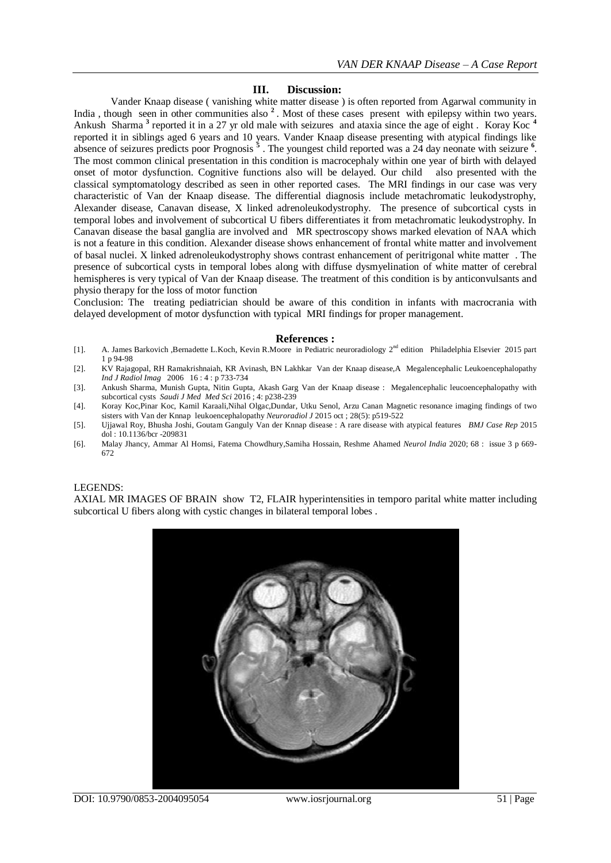## **III. Discussion:**

Vander Knaap disease ( vanishing white matter disease ) is often reported from Agarwal community in India , though seen in other communities also **<sup>2</sup>**. Most of these cases present with epilepsy within two years. Ankush Sharma **<sup>3</sup>** reported it in a 27 yr old male with seizures and ataxia since the age of eight . Koray Koc **<sup>4</sup>** reported it in siblings aged 6 years and 10 years. Vander Knaap disease presenting with atypical findings like absence of seizures predicts poor Prognosis **<sup>5</sup>** . The youngest child reported was a 24 day neonate with seizure **<sup>6</sup>** . The most common clinical presentation in this condition is macrocephaly within one year of birth with delayed onset of motor dysfunction. Cognitive functions also will be delayed. Our child also presented with the classical symptomatology described as seen in other reported cases. The MRI findings in our case was very characteristic of Van der Knaap disease. The differential diagnosis include metachromatic leukodystrophy, Alexander disease, Canavan disease, X linked adrenoleukodystrophy. The presence of subcortical cysts in temporal lobes and involvement of subcortical U fibers differentiates it from metachromatic leukodystrophy. In Canavan disease the basal ganglia are involved and MR spectroscopy shows marked elevation of NAA which is not a feature in this condition. Alexander disease shows enhancement of frontal white matter and involvement of basal nuclei. X linked adrenoleukodystrophy shows contrast enhancement of peritrigonal white matter . The presence of subcortical cysts in temporal lobes along with diffuse dysmyelination of white matter of cerebral hemispheres is very typical of Van der Knaap disease. The treatment of this condition is by anticonvulsants and physio therapy for the loss of motor function

Conclusion: The treating pediatrician should be aware of this condition in infants with macrocrania with delayed development of motor dysfunction with typical MRI findings for proper management.

#### **References :**

- [1]. A. James Barkovich ,Bernadette L.Koch, Kevin R.Moore in Pediatric neuroradiology 2<sup>nd</sup> edition Philadelphia Elsevier 2015 part 1 p 94-98
- [2]. KV Rajagopal, RH Ramakrishnaiah, KR Avinash, BN Lakhkar Van der Knaap disease,A Megalencephalic Leukoencephalopathy *Ind J Radiol Imag* 2006 16 : 4 : p 733-734
- [3]. Ankush Sharma, Munish Gupta, Nitin Gupta, Akash Garg Van der Knaap disease : Megalencephalic leucoencephalopathy with subcortical cysts *Saudi J Med Med Sci* 2016 ; 4: p238-239
- [4]. Koray Koc,Pinar Koc, Kamil Karaali,Nihal Olgac,Dundar, Utku Senol, Arzu Canan Magnetic resonance imaging findings of two sisters with Van der Knnap leukoencephalopathy *Neuroradiol J* 2015 oct ; 28(5): p519-522
- [5]. Ujjawal Roy, Bhusha Joshi, Goutam Ganguly Van der Knnap disease : A rare disease with atypical features *BMJ Case Rep* 2015 dol : 10.1136/bcr -209831
- [6]. Malay Jhancy, Ammar Al Homsi, Fatema Chowdhury,Samiha Hossain, Reshme Ahamed *Neurol India* 2020; 68 : issue 3 p 669- 672

## LEGENDS:

AXIAL MR IMAGES OF BRAIN show T2, FLAIR hyperintensities in temporo parital white matter including subcortical U fibers along with cystic changes in bilateral temporal lobes .

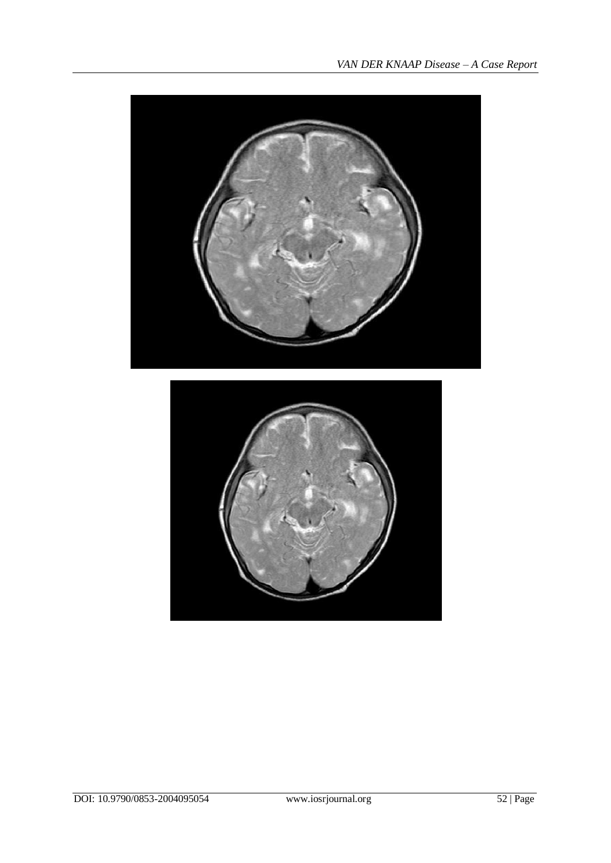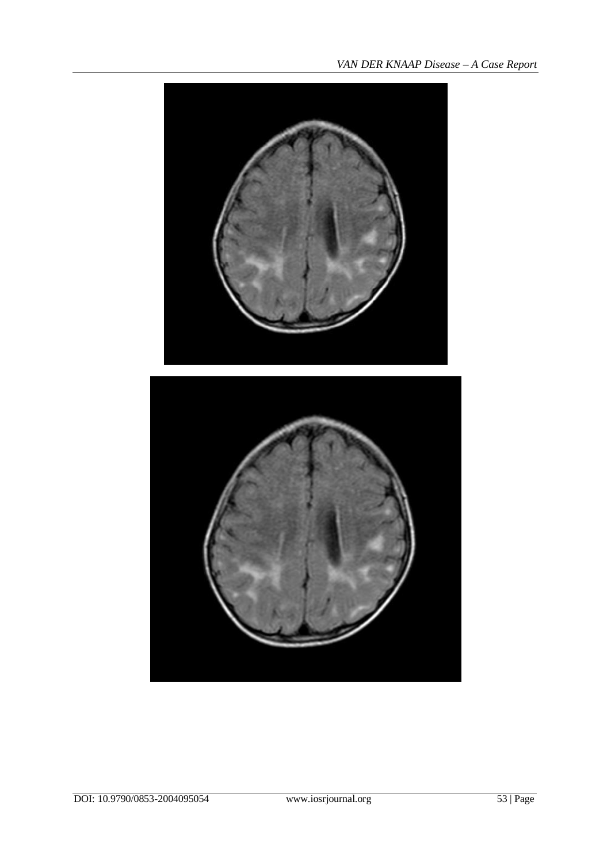